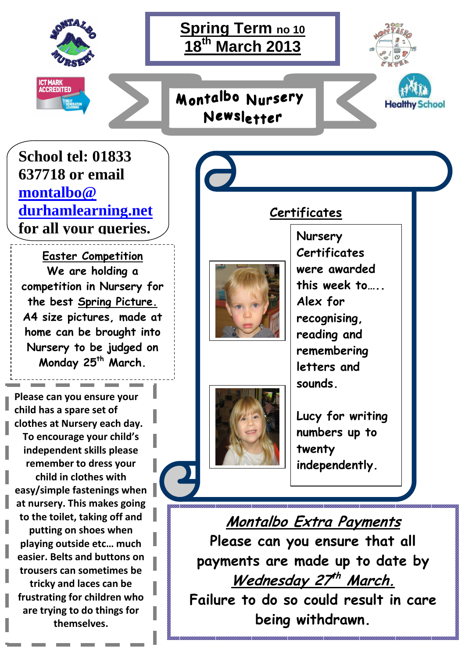

# **Spring Term no 10 18th March 2013**

Montalbo Nursery

Newsletter





**School tel: 01833 637718 or email montalbo@ durhamlearning.net for all your queries.**

**Easter Competition We are holding a competition in Nursery for the best Spring Picture. A4 size pictures, made at home can be brought into Nursery to be judged on Monday 25th March.** 

**Please can you ensure your child has a spare set of clothes at Nursery each day. To encourage your child's independent skills please remember to dress your child in clothes with easy/simple fastenings when at nursery. This makes going to the toilet, taking off and putting on shoes when playing outside etc… much easier. Belts and buttons on trousers can sometimes be tricky and laces can be frustrating for children who are trying to do things for themselves.** 

# 



**Nursery Certificates were awarded this week to….. Alex for recognising, reading and remembering letters and sounds.** 

 $\overline{a}$ 

**Lucy for writing numbers up to twenty independently.** 

**Certificates** 

**Montalbo Extra Payments Please can you ensure that all payments are made up to date by Wednesday 27 th March. Failure to do so could result in care being withdrawn.**